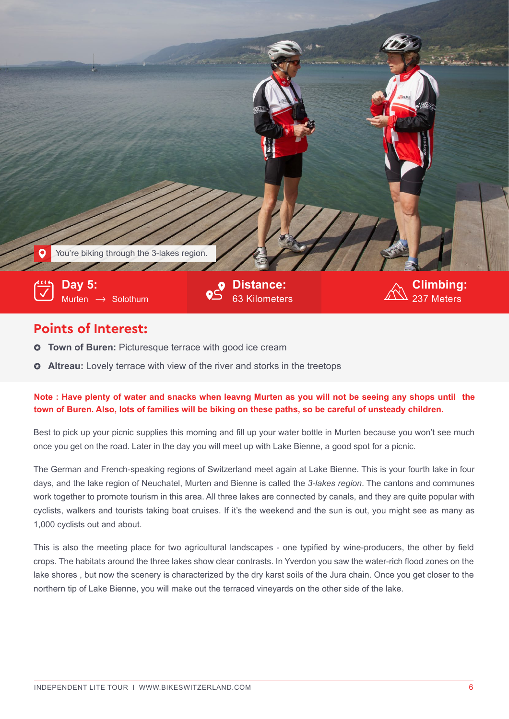

## **Points of Interest:**

- **Town of Buren:** Picturesque terrace with good ice cream  $\bullet$
- **Altreau:** Lovely terrace with view of the river and storks in the treetops

## **Note : Have plenty of water and snacks when leavng Murten as you will not be seeing any shops until the**  town of Buren. Also, lots of families will be biking on these paths, so be careful of unsteady children.

Best to pick up your picnic supplies this morning and fill up your water bottle in Murten because you won't see much once you get on the road. Later in the day you will meet up with Lake Bienne, a good spot for a picnic.

The German and French-speaking regions of Switzerland meet again at Lake Bienne. This is your fourth lake in four days, and the lake region of Neuchatel, Murten and Bienne is called the *3-lakes region*. The cantons and communes work together to promote tourism in this area. All three lakes are connected by canals, and they are quite popular with cyclists, walkers and tourists taking boat cruises. If it's the weekend and the sun is out, you might see as many as 1,000 cyclists out and about.

This is also the meeting place for two agricultural landscapes - one typified by wine-producers, the other by field crops. The habitats around the three lakes show clear contrasts. In Yverdon you saw the water-rich flood zones on the lake shores , but now the scenery is characterized by the dry karst soils of the Jura chain. Once you get closer to the northern tip of Lake Bienne, you will make out the terraced vineyards on the other side of the lake.